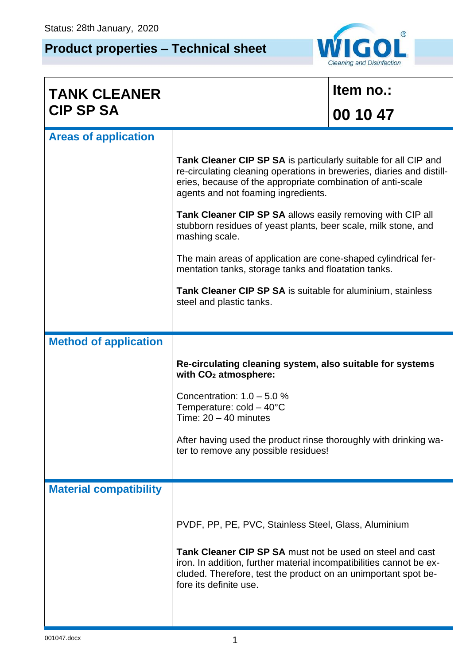## **Product properties – Technical sheet**



| <b>TANK CLEANER</b>           |                                                                                                                                                                                                                                                                                      | Item no.: |  |
|-------------------------------|--------------------------------------------------------------------------------------------------------------------------------------------------------------------------------------------------------------------------------------------------------------------------------------|-----------|--|
| <b>CIP SP SA</b>              |                                                                                                                                                                                                                                                                                      | 00 10 47  |  |
| <b>Areas of application</b>   |                                                                                                                                                                                                                                                                                      |           |  |
|                               | <b>Tank Cleaner CIP SP SA</b> is particularly suitable for all CIP and<br>re-circulating cleaning operations in breweries, diaries and distill-<br>eries, because of the appropriate combination of anti-scale<br>agents and not foaming ingredients.                                |           |  |
|                               | <b>Tank Cleaner CIP SP SA allows easily removing with CIP all</b><br>stubborn residues of yeast plants, beer scale, milk stone, and<br>mashing scale.                                                                                                                                |           |  |
|                               | The main areas of application are cone-shaped cylindrical fer-<br>mentation tanks, storage tanks and floatation tanks.                                                                                                                                                               |           |  |
|                               | Tank Cleaner CIP SP SA is suitable for aluminium, stainless<br>steel and plastic tanks.                                                                                                                                                                                              |           |  |
|                               |                                                                                                                                                                                                                                                                                      |           |  |
| <b>Method of application</b>  |                                                                                                                                                                                                                                                                                      |           |  |
|                               | Re-circulating cleaning system, also suitable for systems<br>with CO <sub>2</sub> atmosphere:                                                                                                                                                                                        |           |  |
|                               | Concentration: $1.0 - 5.0 %$<br>Temperature: $cold - 40^{\circ}C$<br>Time: $20 - 40$ minutes                                                                                                                                                                                         |           |  |
|                               | After having used the product rinse thoroughly with drinking wa-<br>ter to remove any possible residues!                                                                                                                                                                             |           |  |
| <b>Material compatibility</b> |                                                                                                                                                                                                                                                                                      |           |  |
|                               | PVDF, PP, PE, PVC, Stainless Steel, Glass, Aluminium<br>Tank Cleaner CIP SP SA must not be used on steel and cast<br>iron. In addition, further material incompatibilities cannot be ex-<br>cluded. Therefore, test the product on an unimportant spot be-<br>fore its definite use. |           |  |